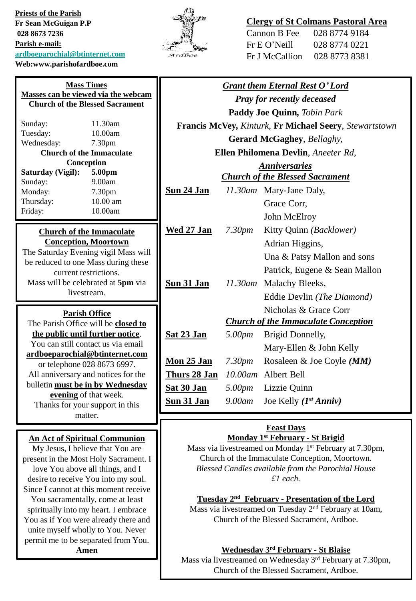**Priests of the Parish Fr Sean McGuigan P.P 028 8673 7236 Parish e-mail: [ardboeparochial@btinternet.com](mailto:ardboeparochial@btinternet.com) Web:www.parishofardboe.com**



## **Clergy of St Colmans Pastoral Area**

| Cannon B Fee   | 028 8774 9184 |
|----------------|---------------|
| Fr E O' Neill  | 028 8774 0221 |
| Fr J McCallion | 028 8773 8381 |

|                                                                                                                                                                                                                                                                                                                                                                                                                                                                                             |                    | <b>Grant them Eternal Rest O'Lord</b>      |
|---------------------------------------------------------------------------------------------------------------------------------------------------------------------------------------------------------------------------------------------------------------------------------------------------------------------------------------------------------------------------------------------------------------------------------------------------------------------------------------------|--------------------|--------------------------------------------|
| <b>Pray for recently deceased</b>                                                                                                                                                                                                                                                                                                                                                                                                                                                           |                    |                                            |
| <b>Paddy Joe Quinn, Tobin Park</b>                                                                                                                                                                                                                                                                                                                                                                                                                                                          |                    |                                            |
| Francis McVey, Kinturk, Fr Michael Seery, Stewartstown                                                                                                                                                                                                                                                                                                                                                                                                                                      |                    |                                            |
| <b>Gerard McGaghey</b> , Bellaghy,                                                                                                                                                                                                                                                                                                                                                                                                                                                          |                    |                                            |
| Ellen Philomena Devlin, Aneeter Rd,                                                                                                                                                                                                                                                                                                                                                                                                                                                         |                    |                                            |
| <b>Anniversaries</b>                                                                                                                                                                                                                                                                                                                                                                                                                                                                        |                    |                                            |
|                                                                                                                                                                                                                                                                                                                                                                                                                                                                                             |                    | <b>Church of the Blessed Sacrament</b>     |
| Sun 24 Jan                                                                                                                                                                                                                                                                                                                                                                                                                                                                                  |                    | 11.30am Mary-Jane Daly,                    |
|                                                                                                                                                                                                                                                                                                                                                                                                                                                                                             |                    | Grace Corr,                                |
|                                                                                                                                                                                                                                                                                                                                                                                                                                                                                             |                    | John McElroy                               |
| <b>Wed 27 Jan</b>                                                                                                                                                                                                                                                                                                                                                                                                                                                                           | 7.30 <sub>pm</sub> | Kitty Quinn (Backlower)                    |
|                                                                                                                                                                                                                                                                                                                                                                                                                                                                                             |                    | Adrian Higgins,                            |
|                                                                                                                                                                                                                                                                                                                                                                                                                                                                                             |                    | Una & Patsy Mallon and sons                |
|                                                                                                                                                                                                                                                                                                                                                                                                                                                                                             |                    | Patrick, Eugene & Sean Mallon              |
| Sun 31 Jan                                                                                                                                                                                                                                                                                                                                                                                                                                                                                  | $11.30$ am         | Malachy Bleeks,                            |
|                                                                                                                                                                                                                                                                                                                                                                                                                                                                                             |                    | Eddie Devlin (The Diamond)                 |
|                                                                                                                                                                                                                                                                                                                                                                                                                                                                                             |                    | Nicholas & Grace Corr                      |
|                                                                                                                                                                                                                                                                                                                                                                                                                                                                                             |                    | <b>Church of the Immaculate Conception</b> |
| Sat 23 Jan                                                                                                                                                                                                                                                                                                                                                                                                                                                                                  | 5.00pm             | Brigid Donnelly,                           |
|                                                                                                                                                                                                                                                                                                                                                                                                                                                                                             |                    | Mary-Ellen & John Kelly                    |
| Mon 25 Jan                                                                                                                                                                                                                                                                                                                                                                                                                                                                                  | 7.30 <sub>pm</sub> | Rosaleen & Joe Coyle (MM)                  |
| Thurs 28 Jan                                                                                                                                                                                                                                                                                                                                                                                                                                                                                |                    | Albert Bell                                |
| Sat 30 Jan                                                                                                                                                                                                                                                                                                                                                                                                                                                                                  | 5.00pm             | Lizzie Quinn                               |
| Sun 31 Jan                                                                                                                                                                                                                                                                                                                                                                                                                                                                                  | 9.00am             | Joe Kelly $(I^{st} Anniv)$                 |
|                                                                                                                                                                                                                                                                                                                                                                                                                                                                                             |                    |                                            |
| <b>Feast Days</b><br>Monday 1 <sup>st</sup> February - St Brigid<br>Mass via livestreamed on Monday 1 <sup>st</sup> February at 7.30pm,<br>Church of the Immaculate Conception, Moortown.<br>Blessed Candles available from the Parochial House<br>$£1$ each.<br>Tuesday 2 <sup>nd</sup> February - Presentation of the Lord<br>Mass via livestreamed on Tuesday 2 <sup>nd</sup> February at 10am,<br>Church of the Blessed Sacrament, Ardboe.<br><b>Wednesday 3rd February - St Blaise</b> |                    |                                            |
|                                                                                                                                                                                                                                                                                                                                                                                                                                                                                             |                    | $10.00$ am                                 |

Mass via livestreamed on Wednesday 3<sup>rd</sup> February at 7.30pm, Church of the Blessed Sacrament, Ardboe.